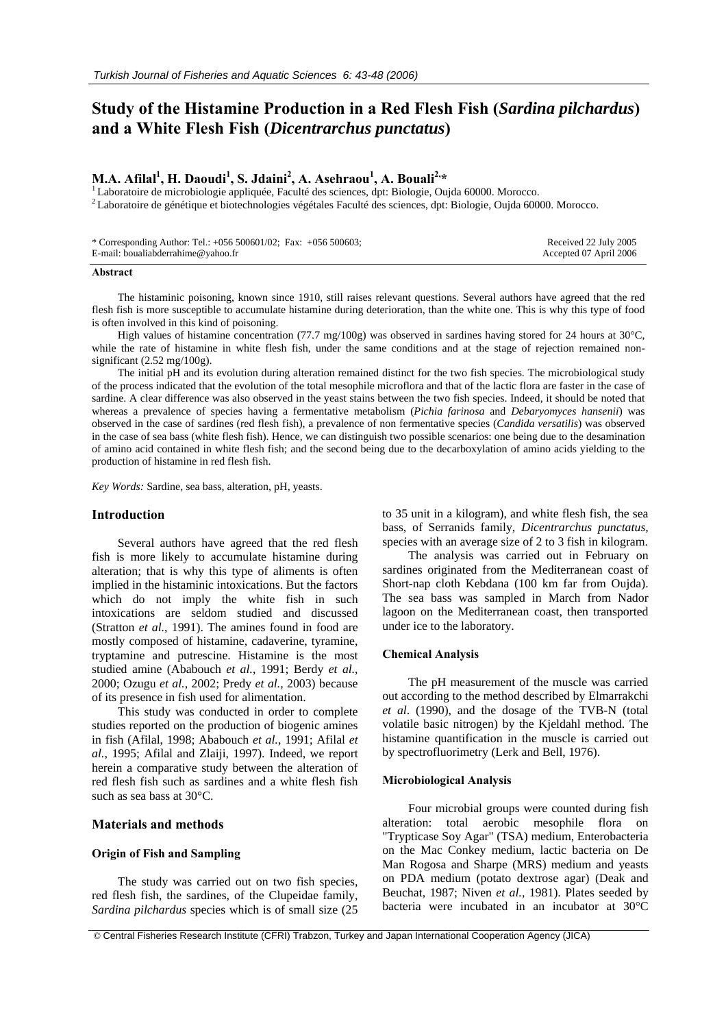# **Study of the Histamine Production in a Red Flesh Fish (***Sardina pilchardus***) and a White Flesh Fish (***Dicentrarchus punctatus***)**

## $\mathbf{M.A.}$  Afilal<sup>1</sup>, **H.** Daoudi<sup>1</sup>, S. Jdaini<sup>2</sup>, A. Asehraou<sup>1</sup>

 $^{1}$ Laboratoire de microbiologie appliquée, Faculté des sciences, dpt: Biologie, Oujda 60000. Morocco.<br><sup>2</sup> Laboratoire de génétique et biotechnologies végétales Faculté des sciences, dpt: Biologie, Oujda 60000. Morocco.

| * Corresponding Author: Tel.: $+056500601/02$ ; Fax: $+056500603$ ; | Received 22 July 2005  |
|---------------------------------------------------------------------|------------------------|
| E-mail: boualiabderrahime@yahoo.fr                                  | Accepted 07 April 2006 |

#### **Abstract**

The histaminic poisoning, known since 1910, still raises relevant questions. Several authors have agreed that the red flesh fish is more susceptible to accumulate histamine during deterioration, than the white one. This is why this type of food is often involved in this kind of poisoning.

High values of histamine concentration (77.7 mg/100g) was observed in sardines having stored for 24 hours at 30°C, while the rate of histamine in white flesh fish, under the same conditions and at the stage of rejection remained nonsignificant (2.52 mg/100g).

The initial pH and its evolution during alteration remained distinct for the two fish species. The microbiological study of the process indicated that the evolution of the total mesophile microflora and that of the lactic flora are faster in the case of sardine. A clear difference was also observed in the yeast stains between the two fish species. Indeed, it should be noted that whereas a prevalence of species having a fermentative metabolism (*Pichia farinosa* and *Debaryomyces hansenii*) was observed in the case of sardines (red flesh fish), a prevalence of non fermentative species (*Candida versatilis*) was observed in the case of sea bass (white flesh fish). Hence, we can distinguish two possible scenarios: one being due to the desamination of amino acid contained in white flesh fish; and the second being due to the decarboxylation of amino acids yielding to the production of histamine in red flesh fish.

*Key Words:* Sardine, sea bass, alteration, pH, yeasts.

## **Introduction**

Several authors have agreed that the red flesh fish is more likely to accumulate histamine during alteration; that is why this type of aliments is often implied in the histaminic intoxications. But the factors which do not imply the white fish in such intoxications are seldom studied and discussed (Stratton *et al.*, 1991). The amines found in food are mostly composed of histamine, cadaverine, tyramine, tryptamine and putrescine. Histamine is the most studied amine (Ababouch *et al.*, 1991; Berdy *et al.*, 2000; Ozugu *et al.*, 2002; Predy *et al.*, 2003) because of its presence in fish used for alimentation.

This study was conducted in order to complete studies reported on the production of biogenic amines in fish (Afilal, 1998; Ababouch *et al.*, 1991; Afilal *et al.*, 1995; Afilal and Zlaiji, 1997). Indeed, we report herein a comparative study between the alteration of red flesh fish such as sardines and a white flesh fish such as sea bass at 30°C.

## **Materials and methods**

#### **Origin of Fish and Sampling**

The study was carried out on two fish species, red flesh fish, the sardines, of the Clupeidae family, *Sardina pilchardus* species which is of small size (25

to 35 unit in a kilogram), and white flesh fish, the sea bass, of Serranids family, *Dicentrarchus punctatus,* species with an average size of 2 to 3 fish in kilogram.

The analysis was carried out in February on sardines originated from the Mediterranean coast of Short-nap cloth Kebdana (100 km far from Oujda). The sea bass was sampled in March from Nador lagoon on the Mediterranean coast, then transported under ice to the laboratory.

#### **Chemical Analysis**

The pH measurement of the muscle was carried out according to the method described by Elmarrakchi *et al*. (1990), and the dosage of the TVB-N (total volatile basic nitrogen) by the Kjeldahl method. The histamine quantification in the muscle is carried out by spectrofluorimetry (Lerk and Bell, 1976).

#### **Microbiological Analysis**

Four microbial groups were counted during fish alteration: total aerobic mesophile flora on "Trypticase Soy Agar" (TSA) medium, Enterobacteria on the Mac Conkey medium, lactic bacteria on De Man Rogosa and Sharpe (MRS) medium and yeasts on PDA medium (potato dextrose agar) (Deak and Beuchat, 1987; Niven *et al.,* 1981). Plates seeded by bacteria were incubated in an incubator at 30°C

© Central Fisheries Research Institute (CFRI) Trabzon, Turkey and Japan International Cooperation Agency (JICA)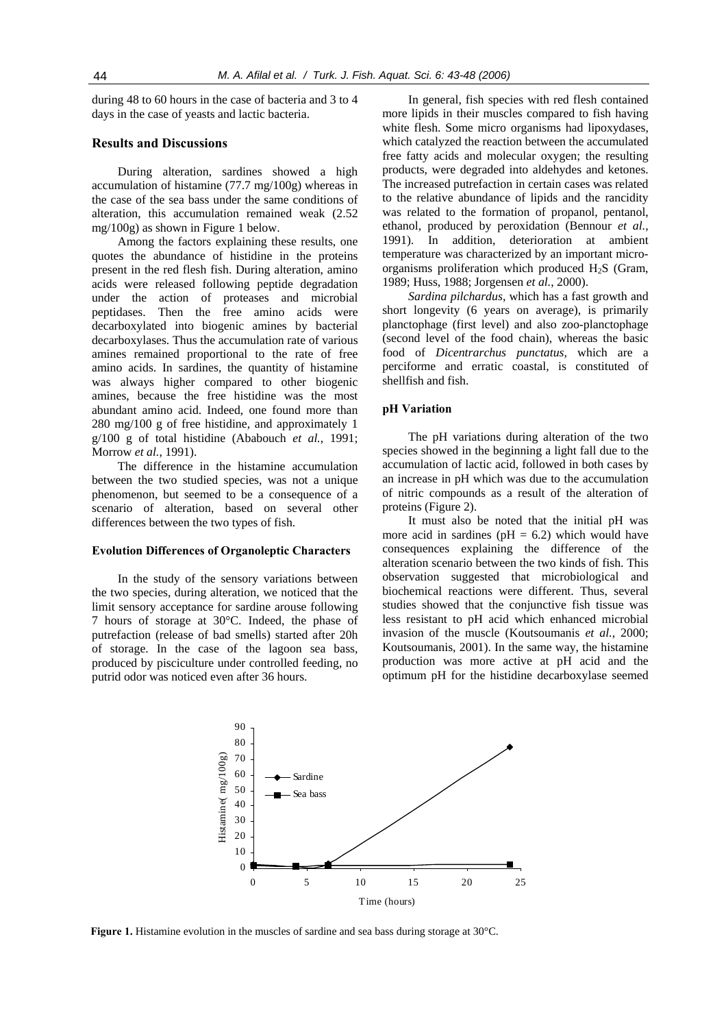during 48 to 60 hours in the case of bacteria and 3 to 4 days in the case of yeasts and lactic bacteria.

## **Results and Discussions**

During alteration, sardines showed a high accumulation of histamine (77.7 mg/100g) whereas in the case of the sea bass under the same conditions of alteration, this accumulation remained weak (2.52 mg/100g) as shown in Figure 1 below.

Among the factors explaining these results, one quotes the abundance of histidine in the proteins present in the red flesh fish. During alteration, amino acids were released following peptide degradation under the action of proteases and microbial peptidases. Then the free amino acids were decarboxylated into biogenic amines by bacterial decarboxylases. Thus the accumulation rate of various amines remained proportional to the rate of free amino acids. In sardines, the quantity of histamine was always higher compared to other biogenic amines, because the free histidine was the most abundant amino acid. Indeed, one found more than 280 mg/100 g of free histidine, and approximately 1 g/100 g of total histidine (Ababouch *et al.*, 1991; Morrow *et al.*, 1991).

The difference in the histamine accumulation between the two studied species, was not a unique phenomenon, but seemed to be a consequence of a scenario of alteration, based on several other differences between the two types of fish.

#### **Evolution Differences of Organoleptic Characters**

In the study of the sensory variations between the two species, during alteration, we noticed that the limit sensory acceptance for sardine arouse following 7 hours of storage at 30°C. Indeed, the phase of putrefaction (release of bad smells) started after 20h of storage. In the case of the lagoon sea bass, produced by pisciculture under controlled feeding, no putrid odor was noticed even after 36 hours.

In general, fish species with red flesh contained more lipids in their muscles compared to fish having white flesh. Some micro organisms had lipoxydases, which catalyzed the reaction between the accumulated free fatty acids and molecular oxygen; the resulting products, were degraded into aldehydes and ketones. The increased putrefaction in certain cases was related to the relative abundance of lipids and the rancidity was related to the formation of propanol, pentanol, ethanol, produced by peroxidation (Bennour *et al.*, 1991). In addition, deterioration at ambient temperature was characterized by an important microorganisms proliferation which produced  $H_2S$  (Gram, 1989; Huss, 1988; Jorgensen *et al.*, 2000).

*Sardina pilchardus*, which has a fast growth and short longevity (6 years on average), is primarily planctophage (first level) and also zoo-planctophage (second level of the food chain), whereas the basic food of *Dicentrarchus punctatus,* which are a perciforme and erratic coastal, is constituted of shellfish and fish.

### **pH Variation**

The pH variations during alteration of the two species showed in the beginning a light fall due to the accumulation of lactic acid, followed in both cases by an increase in pH which was due to the accumulation of nitric compounds as a result of the alteration of proteins (Figure 2).

It must also be noted that the initial pH was more acid in sardines ( $pH = 6.2$ ) which would have consequences explaining the difference of the alteration scenario between the two kinds of fish. This observation suggested that microbiological and biochemical reactions were different. Thus, several studies showed that the conjunctive fish tissue was less resistant to pH acid which enhanced microbial invasion of the muscle (Koutsoumanis *et al.*, 2000; Koutsoumanis, 2001). In the same way, the histamine production was more active at pH acid and the optimum pH for the histidine decarboxylase seemed



**Figure 1.** Histamine evolution in the muscles of sardine and sea bass during storage at 30°C.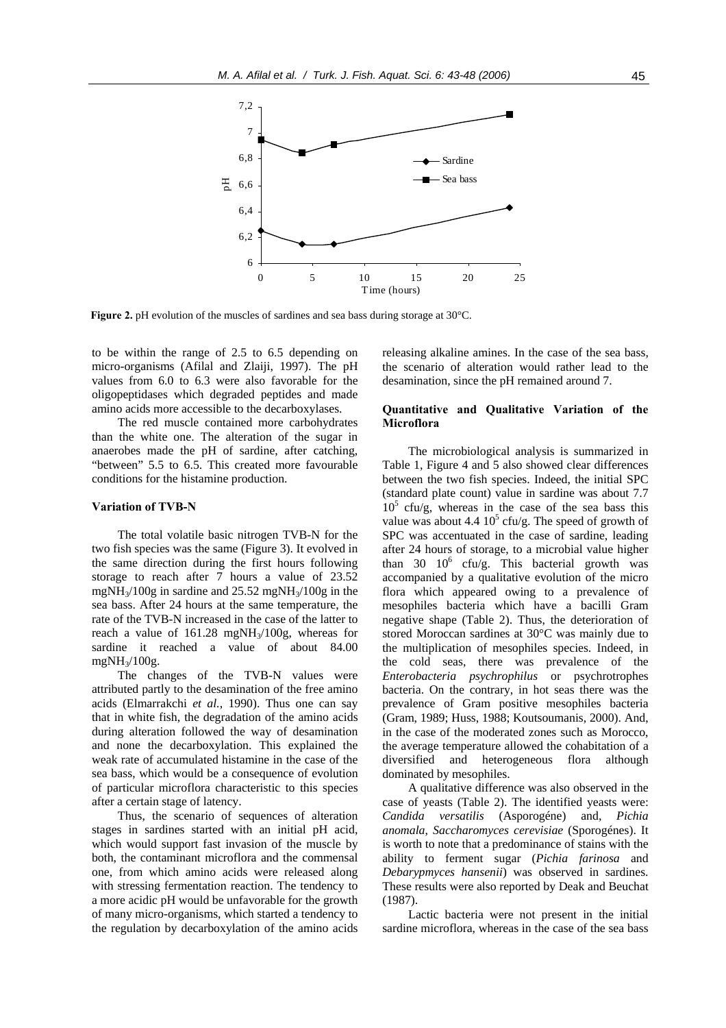

**Figure 2.** pH evolution of the muscles of sardines and sea bass during storage at 30°C.

to be within the range of 2.5 to 6.5 depending on micro-organisms (Afilal and Zlaiji, 1997). The pH values from 6.0 to 6.3 were also favorable for the oligopeptidases which degraded peptides and made amino acids more accessible to the decarboxylases.

The red muscle contained more carbohydrates than the white one. The alteration of the sugar in anaerobes made the pH of sardine, after catching, "between" 5.5 to 6.5. This created more favourable conditions for the histamine production.

#### **Variation of TVB-N**

The total volatile basic nitrogen TVB-N for the two fish species was the same (Figure 3). It evolved in the same direction during the first hours following storage to reach after 7 hours a value of 23.52 mgNH3/100g in sardine and 25.52 mgNH3/100g in the sea bass. After 24 hours at the same temperature, the rate of the TVB-N increased in the case of the latter to reach a value of  $161.28 \text{ mgNH}_3/100$ g, whereas for sardine it reached a value of about 84.00 mgNH3/100g.

The changes of the TVB-N values were attributed partly to the desamination of the free amino acids (Elmarrakchi *et al.*, 1990). Thus one can say that in white fish, the degradation of the amino acids during alteration followed the way of desamination and none the decarboxylation. This explained the weak rate of accumulated histamine in the case of the sea bass, which would be a consequence of evolution of particular microflora characteristic to this species after a certain stage of latency.

Thus, the scenario of sequences of alteration stages in sardines started with an initial pH acid, which would support fast invasion of the muscle by both, the contaminant microflora and the commensal one, from which amino acids were released along with stressing fermentation reaction. The tendency to a more acidic pH would be unfavorable for the growth of many micro-organisms, which started a tendency to the regulation by decarboxylation of the amino acids

releasing alkaline amines. In the case of the sea bass, the scenario of alteration would rather lead to the desamination, since the pH remained around 7.

## **Quantitative and Qualitative Variation of the Microflora**

The microbiological analysis is summarized in Table 1, Figure 4 and 5 also showed clear differences between the two fish species. Indeed, the initial SPC (standard plate count) value in sardine was about 7.7  $10<sup>5</sup>$  cfu/g, whereas in the case of the sea bass this value was about 4.4  $10^5$  cfu/g. The speed of growth of SPC was accentuated in the case of sardine, leading after 24 hours of storage, to a microbial value higher than 30  $10^6$  cfu/g. This bacterial growth was accompanied by a qualitative evolution of the micro flora which appeared owing to a prevalence of mesophiles bacteria which have a bacilli Gram negative shape (Table 2). Thus, the deterioration of stored Moroccan sardines at 30°C was mainly due to the multiplication of mesophiles species. Indeed, in the cold seas, there was prevalence of the *Enterobacteria psychrophilus* or psychrotrophes bacteria. On the contrary, in hot seas there was the prevalence of Gram positive mesophiles bacteria (Gram, 1989; Huss, 1988; Koutsoumanis, 2000). And, in the case of the moderated zones such as Morocco, the average temperature allowed the cohabitation of a diversified and heterogeneous flora although dominated by mesophiles.

A qualitative difference was also observed in the case of yeasts (Table 2). The identified yeasts were: *Candida versatilis* (Asporogéne) and, *Pichia anomala*, *Saccharomyces cerevisiae* (Sporogénes). It is worth to note that a predominance of stains with the ability to ferment sugar (*Pichia farinosa* and *Debarypmyces hansenii*) was observed in sardines. These results were also reported by Deak and Beuchat (1987).

Lactic bacteria were not present in the initial sardine microflora, whereas in the case of the sea bass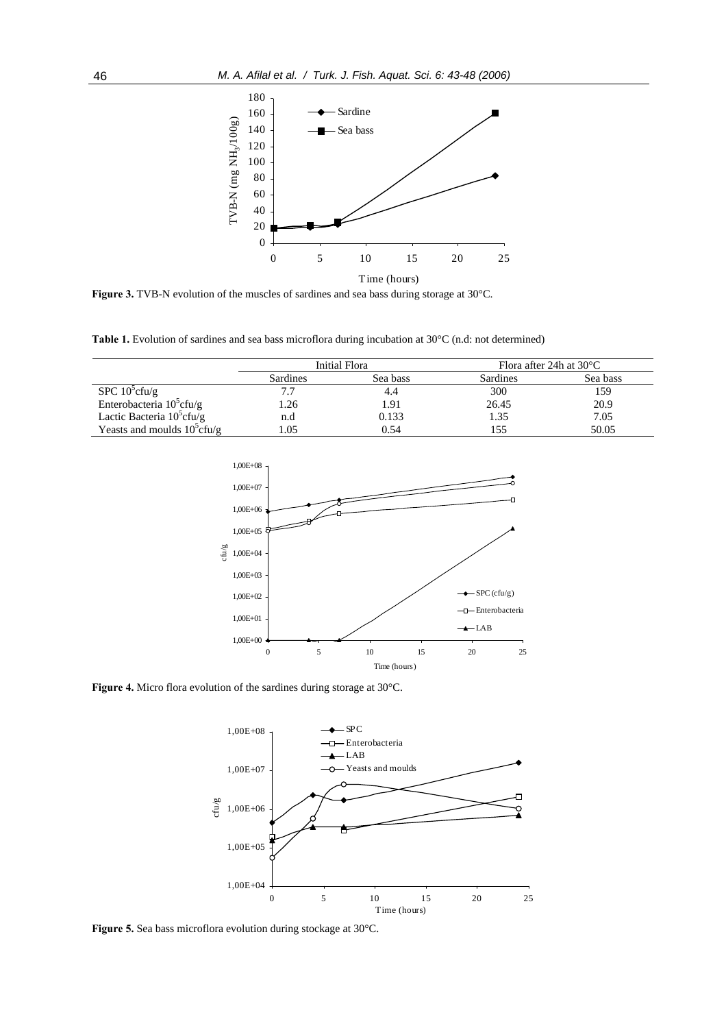

**Figure 3.** TVB-N evolution of the muscles of sardines and sea bass during storage at 30°C.

**Table 1.** Evolution of sardines and sea bass microflora during incubation at 30°C (n.d: not determined)

|                                | Initial Flora |          | Flora after 24h at $30^{\circ}$ C |          |
|--------------------------------|---------------|----------|-----------------------------------|----------|
|                                | Sardines      | Sea bass | Sardines                          | Sea bass |
| SPC $10^5$ cfu/g               | 7.7           |          | 300                               | 159      |
| Enterobacteria $10^5$ cfu/g    | l.26          | 1.91     | 26.45                             | 20.9     |
| Lactic Bacteria $10^5$ cfu/g   | n.d           | 0.133    | 1.35                              | 7.05     |
| Yeasts and moulds $10^5$ cfu/g | 0.05          | 0.54     | 155                               | 50.05    |



**Figure 4.** Micro flora evolution of the sardines during storage at 30°C.



**Figure 5.** Sea bass microflora evolution during stockage at 30°C.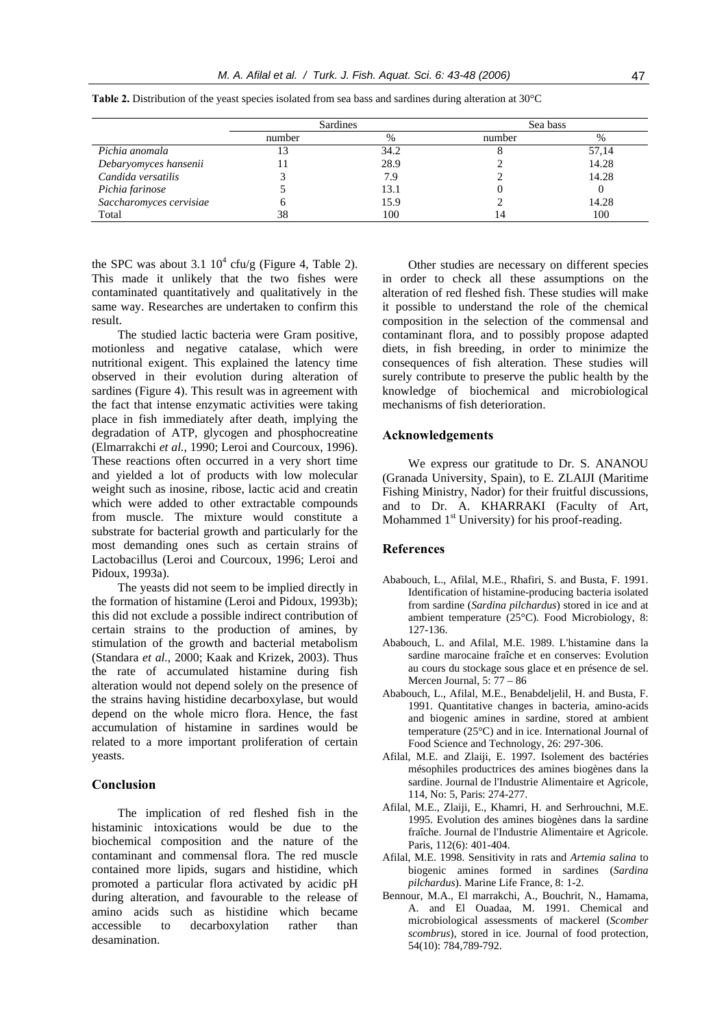|                         | Sardines |      | Sea bass |       |
|-------------------------|----------|------|----------|-------|
|                         | number   | %    | number   | %     |
| Pichia anomala          |          | 34.2 |          | 57,14 |
| Debaryomyces hansenii   |          | 28.9 |          | 14.28 |
| Candida versatilis      |          | 7.9  |          | 14.28 |
| Pichia farinose         |          | 13.1 |          |       |
| Saccharomyces cervisiae |          | 15.9 |          | 14.28 |
| Total                   | 38       | 100  |          | 100   |

**Table 2.** Distribution of the yeast species isolated from sea bass and sardines during alteration at 30°C

the SPC was about 3.1  $10^4$  cfu/g (Figure 4, Table 2). This made it unlikely that the two fishes were contaminated quantitatively and qualitatively in the same way. Researches are undertaken to confirm this result.

The studied lactic bacteria were Gram positive, motionless and negative catalase, which were nutritional exigent. This explained the latency time observed in their evolution during alteration of sardines (Figure 4). This result was in agreement with the fact that intense enzymatic activities were taking place in fish immediately after death, implying the degradation of ATP, glycogen and phosphocreatine (Elmarrakchi *et al.*, 1990; Leroi and Courcoux, 1996). These reactions often occurred in a very short time and yielded a lot of products with low molecular weight such as inosine, ribose, lactic acid and creatin which were added to other extractable compounds from muscle. The mixture would constitute a substrate for bacterial growth and particularly for the most demanding ones such as certain strains of Lactobacillus (Leroi and Courcoux, 1996; Leroi and Pidoux, 1993a).

The yeasts did not seem to be implied directly in the formation of histamine (Leroi and Pidoux, 1993b); this did not exclude a possible indirect contribution of certain strains to the production of amines, by stimulation of the growth and bacterial metabolism (Standara *et al.*, 2000; Kaak and Krizek, 2003). Thus the rate of accumulated histamine during fish alteration would not depend solely on the presence of the strains having histidine decarboxylase, but would depend on the whole micro flora. Hence, the fast accumulation of histamine in sardines would be related to a more important proliferation of certain yeasts.

## **Conclusion**

The implication of red fleshed fish in the histaminic intoxications would be due to the biochemical composition and the nature of the contaminant and commensal flora. The red muscle contained more lipids, sugars and histidine, which promoted a particular flora activated by acidic pH during alteration, and favourable to the release of amino acids such as histidine which became accessible to decarboxylation rather than desamination.

Other studies are necessary on different species in order to check all these assumptions on the alteration of red fleshed fish. These studies will make it possible to understand the role of the chemical composition in the selection of the commensal and contaminant flora, and to possibly propose adapted diets, in fish breeding, in order to minimize the consequences of fish alteration. These studies will surely contribute to preserve the public health by the knowledge of biochemical and microbiological mechanisms of fish deterioration.

## **Acknowledgements**

We express our gratitude to Dr. S. ANANOU (Granada University, Spain), to E. ZLAIJI (Maritime Fishing Ministry, Nador) for their fruitful discussions, and to Dr. A. KHARRAKI (Faculty of Art, Mohammed  $1<sup>st</sup>$  University) for his proof-reading.

#### **References**

- Ababouch, L., Afilal, M.E., Rhafiri, S. and Busta, F. 1991. Identification of histamine-producing bacteria isolated from sardine (*Sardina pilchardus*) stored in ice and at ambient temperature (25°C). Food Microbiology, 8: 127-136.
- Ababouch, L. and Afilal, M.E. 1989. L'histamine dans la sardine marocaine fraîche et en conserves: Evolution au cours du stockage sous glace et en présence de sel. Mercen Journal, 5: 77 – 86
- Ababouch, L., Afilal, M.E., Benabdeljelil, H. and Busta, F. 1991. Quantitative changes in bacteria, amino-acids and biogenic amines in sardine, stored at ambient temperature (25°C) and in ice. International Journal of Food Science and Technology, 26: 297-306.
- Afilal, M.E. and Zlaiji, E. 1997. Isolement des bactéries mésophiles productrices des amines biogènes dans la sardine. Journal de l'Industrie Alimentaire et Agricole, 114, No: 5, Paris: 274-277.
- Afilal, M.E., Zlaiji, E., Khamri, H. and Serhrouchni, M.E. 1995. Evolution des amines biogènes dans la sardine fraîche. Journal de l'Industrie Alimentaire et Agricole. Paris, 112(6): 401-404.
- Afilal, M.E. 1998. Sensitivity in rats and *Artemia salina* to biogenic amines formed in sardines (*Sardina pilchardus*). Marine Life France, 8: 1-2.
- Bennour, M.A., El marrakchi, A., Bouchrit, N., Hamama, A. and El Ouadaa, M. 1991. Chemical and microbiological assessments of mackerel (*Scomber scombrus*), stored in ice. Journal of food protection, 54(10): 784,789-792.